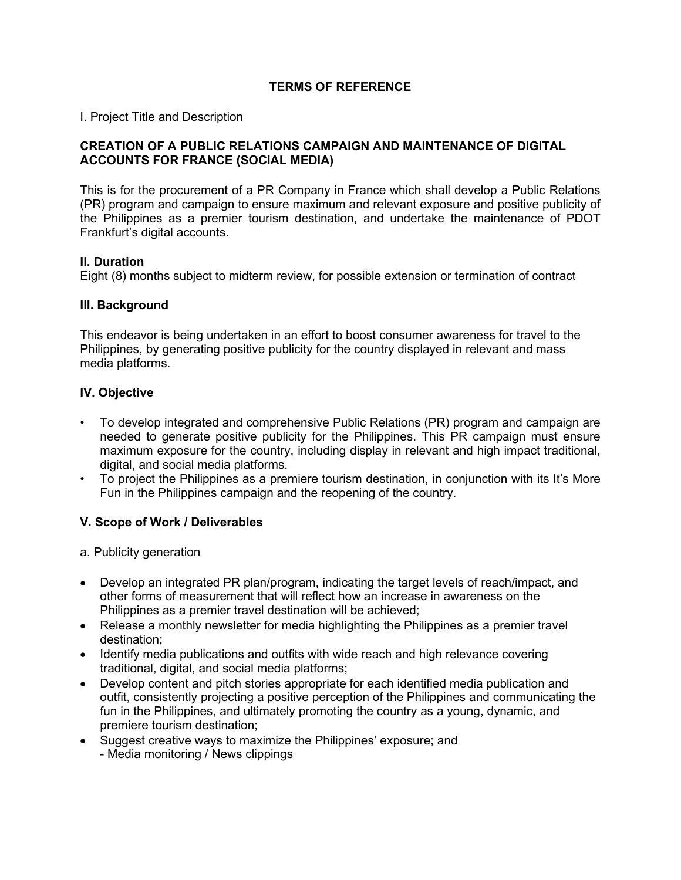# **TERMS OF REFERENCE**

I. Project Title and Description

## **CREATION OF A PUBLIC RELATIONS CAMPAIGN AND MAINTENANCE OF DIGITAL ACCOUNTS FOR FRANCE (SOCIAL MEDIA)**

This is for the procurement of a PR Company in France which shall develop a Public Relations (PR) program and campaign to ensure maximum and relevant exposure and positive publicity of the Philippines as a premier tourism destination, and undertake the maintenance of PDOT Frankfurt's digital accounts.

## **II. Duration**

Eight (8) months subject to midterm review, for possible extension or termination of contract

## **III. Background**

This endeavor is being undertaken in an effort to boost consumer awareness for travel to the Philippines, by generating positive publicity for the country displayed in relevant and mass media platforms.

## **IV. Objective**

- To develop integrated and comprehensive Public Relations (PR) program and campaign are needed to generate positive publicity for the Philippines. This PR campaign must ensure maximum exposure for the country, including display in relevant and high impact traditional, digital, and social media platforms.
- To project the Philippines as a premiere tourism destination, in conjunction with its It's More Fun in the Philippines campaign and the reopening of the country.

## **V. Scope of Work / Deliverables**

- a. Publicity generation
- Develop an integrated PR plan/program, indicating the target levels of reach/impact, and other forms of measurement that will reflect how an increase in awareness on the Philippines as a premier travel destination will be achieved;
- Release a monthly newsletter for media highlighting the Philippines as a premier travel destination;
- Identify media publications and outfits with wide reach and high relevance covering traditional, digital, and social media platforms;
- Develop content and pitch stories appropriate for each identified media publication and outfit, consistently projecting a positive perception of the Philippines and communicating the fun in the Philippines, and ultimately promoting the country as a young, dynamic, and premiere tourism destination;
- Suggest creative ways to maximize the Philippines' exposure; and - Media monitoring / News clippings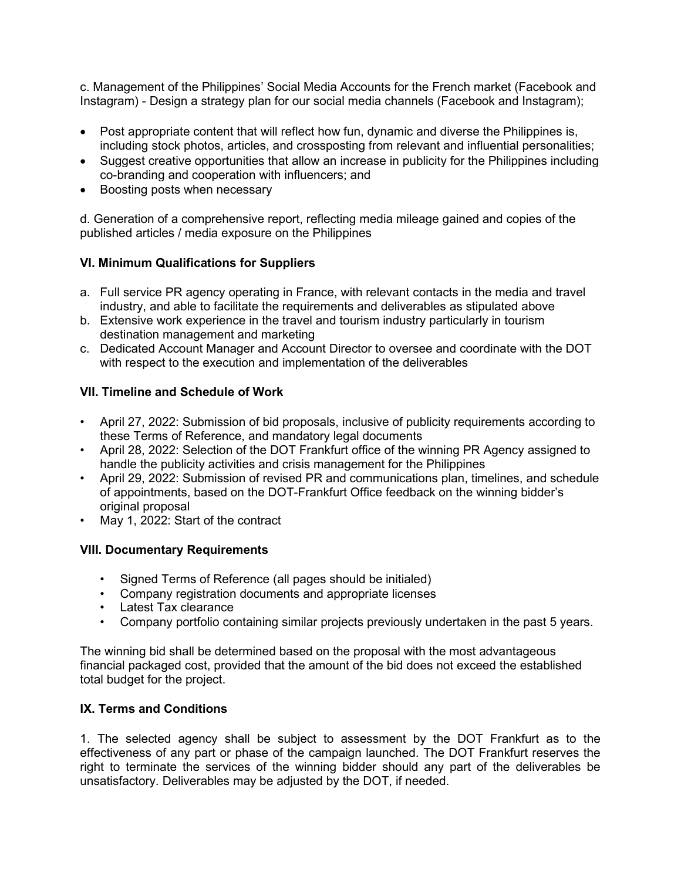c. Management of the Philippines' Social Media Accounts for the French market (Facebook and Instagram) - Design a strategy plan for our social media channels (Facebook and Instagram);

- Post appropriate content that will reflect how fun, dynamic and diverse the Philippines is, including stock photos, articles, and crossposting from relevant and influential personalities;
- Suggest creative opportunities that allow an increase in publicity for the Philippines including co-branding and cooperation with influencers; and
- Boosting posts when necessary

d. Generation of a comprehensive report, reflecting media mileage gained and copies of the published articles / media exposure on the Philippines

# **VI. Minimum Qualifications for Suppliers**

- a. Full service PR agency operating in France, with relevant contacts in the media and travel industry, and able to facilitate the requirements and deliverables as stipulated above
- b. Extensive work experience in the travel and tourism industry particularly in tourism destination management and marketing
- c. Dedicated Account Manager and Account Director to oversee and coordinate with the DOT with respect to the execution and implementation of the deliverables

# **VII. Timeline and Schedule of Work**

- April 27, 2022: Submission of bid proposals, inclusive of publicity requirements according to these Terms of Reference, and mandatory legal documents
- April 28, 2022: Selection of the DOT Frankfurt office of the winning PR Agency assigned to handle the publicity activities and crisis management for the Philippines
- April 29, 2022: Submission of revised PR and communications plan, timelines, and schedule of appointments, based on the DOT-Frankfurt Office feedback on the winning bidder's original proposal
- May 1, 2022: Start of the contract

# **VIII. Documentary Requirements**

- Signed Terms of Reference (all pages should be initialed)
- Company registration documents and appropriate licenses
- Latest Tax clearance
- Company portfolio containing similar projects previously undertaken in the past 5 years.

The winning bid shall be determined based on the proposal with the most advantageous financial packaged cost, provided that the amount of the bid does not exceed the established total budget for the project.

## **IX. Terms and Conditions**

1. The selected agency shall be subject to assessment by the DOT Frankfurt as to the effectiveness of any part or phase of the campaign launched. The DOT Frankfurt reserves the right to terminate the services of the winning bidder should any part of the deliverables be unsatisfactory. Deliverables may be adjusted by the DOT, if needed.